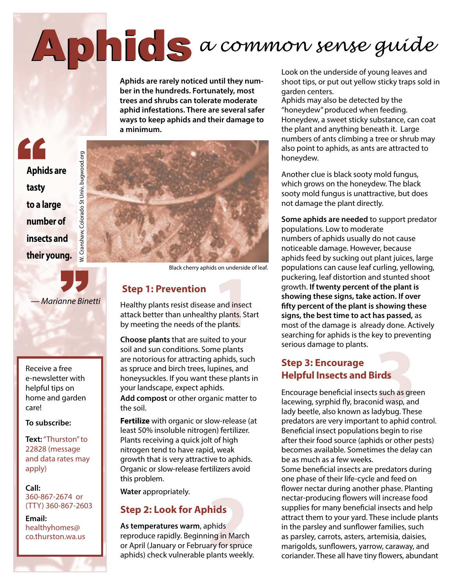*a common sense guide* Aphids

> **Aphids are rarely noticed until they number in the hundreds. Fortunately, most trees and shrubs can tolerate moderate aphid infestations. There are several safer ways to keep aphids and their damage to a minimum.**

**Aphids are tasty to a large number of insects and their young.**  " ng. <sub>≶</sub><br>フフ



Black cherry aphids on underside of leaf.

# **Step 1: Prevention**

**1** Healthy plants resist disease and insect attack better than unhealthy plants. Start by meeting the needs of the plants.

**Choose plants** that are suited to your soil and sun conditions. Some plants are notorious for attracting aphids, such as spruce and birch trees, lupines, and honeysuckles. If you want these plants in your landscape, expect aphids. **Add compost** or other organic matter to the soil.

**Fertilize** with organic or slow-release (at least 50% insoluble nitrogen) fertilizer. Plants receiving a quick jolt of high nitrogen tend to have rapid, weak growth that is very attractive to aphids. Organic or slow-release fertilizers avoid this problem.

**Water** appropriately.

### **Step 2: Look for Aphids**

**hids**<br>phids<br>ing in March<br>ary for spruc<br>plants weekl **As temperatures warm**, aphids reproduce rapidly. Beginning in March or April (January or February for spruce aphids) check vulnerable plants weekly. Look on the underside of young leaves and shoot tips, or put out yellow sticky traps sold in garden centers.

Aphids may also be detected by the "honeydew" produced when feeding. Honeydew, a sweet sticky substance, can coat the plant and anything beneath it. Large numbers of ants climbing a tree or shrub may also point to aphids, as ants are attracted to honeydew.

Another clue is black sooty mold fungus, which grows on the honeydew. The black sooty mold fungus is unattractive, but does not damage the plant directly.

**Some aphids are needed** to support predator populations. Low to moderate numbers of aphids usually do not cause noticeable damage. However, because aphids feed by sucking out plant juices, large populations can cause leaf curling, yellowing, puckering, leaf distortion and stunted shoot growth. **If twenty percent of the plant is showing these signs, take action. If over fifty percent of the plant is showing these signs, the best time to act has passed,** as most of the damage is already done. Actively searching for aphids is the key to preventing serious damage to plants.

### **Step 3: Encourage Helpful Insects and Birds**

serious damage to plants.<br> **Step 3: Encourage<br>
Helpful Insects and Birds**<br>
Encourage beneficial insects such as greer<br>|acewing, syrphid fly, braconid wasp, and<br>|ady beetle, also known as ladybug. These Encourage beneficial insects such as green lacewing, syrphid fly, braconid wasp, and predators are very important to aphid control. Beneficial insect populations begin to rise after their food source (aphids or other pests) becomes available. Sometimes the delay can be as much as a few weeks. Some beneficial insects are predators during one phase of their life-cycle and feed on flower nectar during another phase. Planting nectar-producing flowers will increase food supplies for many beneficial insects and help attract them to your yard. These include plants in the parsley and sunflower families, such as parsley, carrots, asters, artemisia, daisies, marigolds, sunflowers, yarrow, caraway, and coriander. These all have tiny flowers, abundant

Receive a free e-newsletter with helpful tips on home and garden care!

*— Marianne Binetti*

W. Cranshaw, Colorado St Univ, bugwood.org

#### **To subscribe:**

**Text:** "Thurston" to 22828 (message and data rates may apply)

**Call:**  360-867-2674 or (TTY) 360-867-2603

**Email:**  healthyhomes@ co.thurston.wa.us